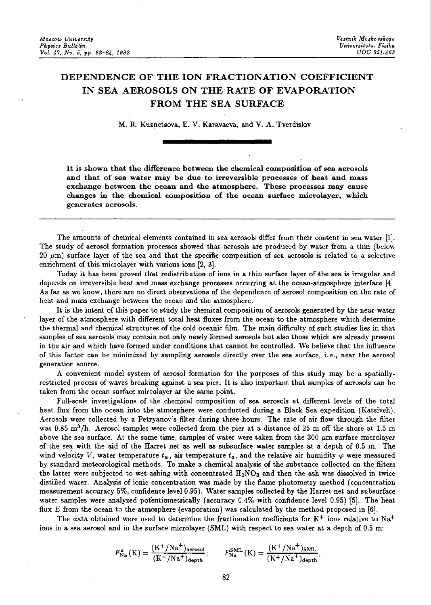## DEPENDENCE OF THE ION FRACTIONATION COEFFICIENT IN SEA AEROSOLS ON THE RATE OF EVAPORATION FROM THE SEA SURFACE

M. R. Kuznetsova, E. V. Karavaeva, and V. A. Tverdislov

It is shown that the difference between the chemical composition of sea aerosols and that of sea water may be due to irreversible processes of heat and mass exchange between the ocean and the atmosphere. These processes may cause changes in the chemical composition of the ocean surface microlayer, which generates aerosols.

The amounts of chemical elements contained in sea aerosols differ from their content in sea water [1]. The study of aerosol formation processes showed that aerosols are produced by water from a thin (below  $20 \mu m$ ) surface layer of the sea and that the specific composition of sea aerosols is related to a selective enrichment of this microlayer with various ions (2, 3].

Today it has been proved that redistribution of ions in a thin surface layer of the sea is irregular and depends on irreversible heat and mass exchange processes occurring at the ocean-atmosphere interface [4]. As far as we know, there are no direct observations of the dependence of aerosol composition on the rate of heat and mass exchange between the ocean and the atmosphere.

It is the intent of this paper to study the chemical composition of aerosols generated by the near-water layer of the atmosphere with different total heat fluxes from the ocean to the atmosphere which determine the thermal and chemical structures of the cold oceanic film. The main difficulty of such studies lies in that samples of sea aerosols may contain not only newly formed aerosols but also those which are already present in the air and which have formed under conditions that cannot be controlled. We believe that the influence of this factor can be minimized by sampling aerosols directly over the sea surface 1 i.e. 1 near the aerosol generation source.

A convenient model system of aerosol formation for the purposes of this study may be a spatiallyrestricted process of waves breaking against a sea pier. It is also important that samples of aerosols can be taken from the ocean surface microlayer at the same point.

Full-scale investigations of the chemical composition of sea aerosols at different levels of the total heat flux from the ocean into the atmosphere were conducted during a Black Sea expedition (Katsiveli). Aerosols were collected by a Petryanov's filter during three hours. The rate of air flow through the filter was 0.85 m<sup>3</sup>/h. Aerosol samples were collected from the pier at a distance of 25 m off the shore at 1.5 m above the sea surface. At the same time, samples of water were taken from the  $300 \ \mu m$  surface microlayer of the sea with the aid of the Harret net as well as subsurface water samples at a depth of 0.5 m. The wind velocity V, water temperature  $t_w$ , air temperature  $t_a$ , and the relative air humidity  $\varphi$  were measured by standard meteorological methods. To make a chemical analysis of the substance collected on the filters the latter were subjected to wet ashing with concentrated  $H_2NO_3$  and then the ash was dissolved in twice distilled water. Analysis of ionic concentration was made by the flame photometry method (concentration measurement accuracy 5%, confidence level 0.95). Water samples collected by the Harret net and subsurface water samples were analyzed potentiometrically (accuracy  $0.4\%$  with confidence level  $0.95$ ) [5]. The heat flux *E* from the ocean to the atmosphere (evaporation) was calculated by the method proposed in [6].

The data obtained were used to determine the fractionation coefficients for  $K^+$  ions relative to Na<sup>+</sup> ions in a sea aerosol and in the surface microlayer (SML) with respect to sea water at a depth of 0.5 m:

$$
F_{\text{Na}}^{a}(K) = \frac{(K^{+}/\text{Na}^{+})_{\text{aerosol}}}{(K^{+}/\text{Na}^{+})_{\text{depth}}}; \qquad F_{\text{Na}}^{\text{SML}}(K) = \frac{(K^{+}/\text{Na}^{+})_{\text{SML}}}{(K^{+}/\text{Na}^{+})_{\text{depth}}},
$$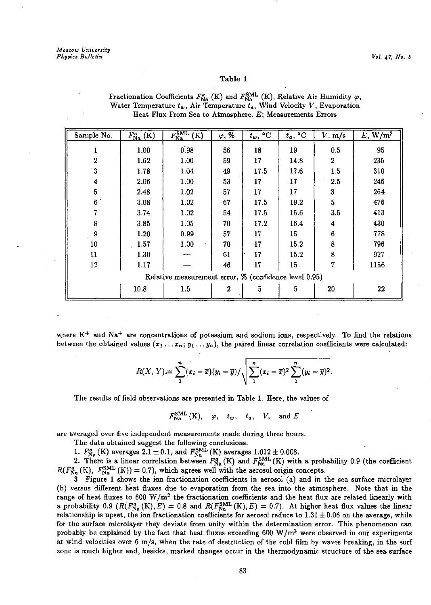## Table 1

| Sample No.                                            | $F_{\rm Na}^{a}\,({\rm K})$ | $\overline{F_{\rm Na}^{\rm SML}\left( {\rm K} \right)}$ | $\varphi, \overline{\mathcal{U}}$ | $t_w$ , <sup>o</sup> C | $t_a, {}^{\circ}C$ | V, m/s         | $E, W/m^2$ |
|-------------------------------------------------------|-----------------------------|---------------------------------------------------------|-----------------------------------|------------------------|--------------------|----------------|------------|
|                                                       | 1.00                        | 0.98                                                    | 56                                | 18                     | 19                 | 0.5            | 95         |
| $\overline{2}$                                        | 1.62                        | 1.00                                                    | 59                                | 17                     | 14.8               | $\overline{2}$ | 235        |
| $\overline{\mathbf{3}}$                               | 1.78                        | 1.04                                                    | 49                                | 17.5                   | 17.6               | 1.5            | 310        |
| 4                                                     | 2.06                        | 1.00                                                    | 53                                | 17                     | 17                 | 2.5            | 246        |
| 5                                                     | 2.48                        | 1.02                                                    | 57                                | 17                     | 17                 | 3              | 264        |
| 6                                                     | 3.08                        | 1.02                                                    | 67                                | 17.5                   | 19.2               | $\overline{5}$ | 476        |
| 7                                                     | 3.74                        | 1.02                                                    | 54                                | 17.5                   | 15.6               | 3.5            | 413        |
| 8                                                     | 3.85                        | 1.05                                                    | 70                                | 17.2                   | 16.4               | 4              | 430        |
| 9                                                     | 1.20                        | 0.99                                                    | 57                                | $17\,$                 | 15                 | 6              | 778        |
| 10                                                    | 1.57                        | 1.00                                                    | 70                                | 17                     | 15.2               | 8              | 796        |
| 11                                                    | 1.30                        |                                                         | 61                                | 17                     | 15.2               | 8              | 927        |
| 12                                                    | 1.17                        |                                                         | 46                                | 17                     | 15                 | 7              | 1156       |
| Relative measurement error, % (confidence level 0.95) |                             |                                                         |                                   |                        |                    |                |            |
|                                                       | 10.8                        | 1.5                                                     | 2                                 | 5                      | 5                  | 20             | 22         |

Fractionation Coefficients  $F_{\text{Na}}^{a}$  (K) and  $F_{\text{Na}}^{\text{SML}}$  (K), Relative Air Humidity  $\varphi$ , Water Temperature  $t_w$ , Air Temperature  $t_a$ , Wind Velocity  $V$ , Evaporation **Heat Flux From Sea to Atmosphere,** *E;* **Measurements Errors** 

where K<sup>+</sup> and Na<sup>+</sup> are concentrations of potassium and sodium ions, respectively. To find the relations between the obtained values  $(x_1 \ldots x_n; y_1 \ldots y_n)$ , the paired linear correlation coefficients were calculated:

$$
R(X, Y) = \sum_{1}^{n} (x_i - \overline{x})(y_i - \overline{y}) / \sqrt{\sum_{1}^{n} (x_i - \overline{x})^2 \sum_{1}^{n} (y_i - \overline{y})^2}.
$$

The results of field observations are presented in Table 1. Here, the values of

 $F_{\text{Na}}^{\text{SML}}(\text{K}), \varphi, t_w, t_a, V, \text{and } E$ 

**are averaged over five independent measurements made during three hours.** 

The data obtained suggest the following conclusions.

1.  $F_{\text{Na}}^{a}$  (K) averages 2.1  $\pm$  0.1, and  $F_{\text{Na}}^{\text{SML}}$  (K) averages 1.012  $\pm$  0.008.

2. There is a linear correlation between  $F_{\text{Na}}^{\text{s}}(K)$  and  $F_{\text{Na}}^{\text{SML}}(K)$  with a probability 0.9 (the coefficient  $R(F_{\text{Na}}^{a}(K), F_{\text{Na}}^{\text{SML}}(K)) = 0.7$ , which agrees well with the aerosol origin concepts.

3. Figure 1 shows the ion fractionation coefficients in aerosol (a) and in the sea surface microlayer (b) versus different heat fluxes due to evaporation from the sea into the atmosphere. Note that in the range of heat fluxes to 600 W/m<sup>2</sup> the fractionation coefficients and the heat flux are related linearly with a probability 0.9 ( $R(F_{\text{Na}}^a(K), E) = 0.8$  and  $R(F_{\text{Na}}^{\text{SML}}(K), E) = 0.7$ ). At higher heat flux values the linea relationship is upset, the ion fractionation coefficients for aerosol reduce to  $1.31 \pm 0.06$  on the average, while **for the surface microlayer they deviate from unity within the determination error. This phenomenon can**  probably be explained by the fact that heat fluxes exceeding  $600 \text{ W/m}^2$  were observed in our experiments at wind velocities over 6 m/s, when the rate of destruction of the cold film by waves breaking, in the surf **zone is much higher and, besides, marked changes occur in the thermodynamic structure of the sea surface**